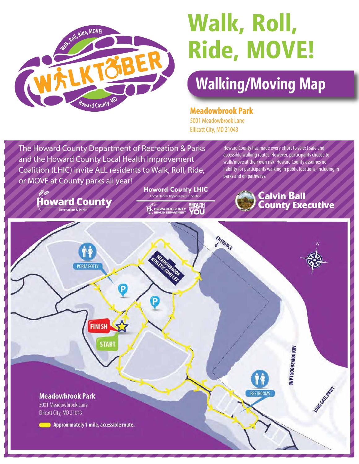

# **Walk, Roll, Ride, MOVE!**

# **Walking/Moving Map**

**Meadowbrook Park**

5001 Meadowbrook Lane Ellicott City, MD 21043

The Howard County Department of Recreation & Parks and the Howard County Local Health Improvement Coalition (LHIC) invite ALL residents to Walk, Roll, Ride, or MOVE at County parks all year!

Howard County has made every effort to select safe and accessible walking routes. However, participants choose to walk/move at their own risk. Howard County assumes no liability for participants walking in public locations, including in parks and on pathways.

**Calvin Ball** 

**County Executive** 

**Howard County** 

**Howard County LHIC** Local Health Improve

**OWARD COUNTY** Tol